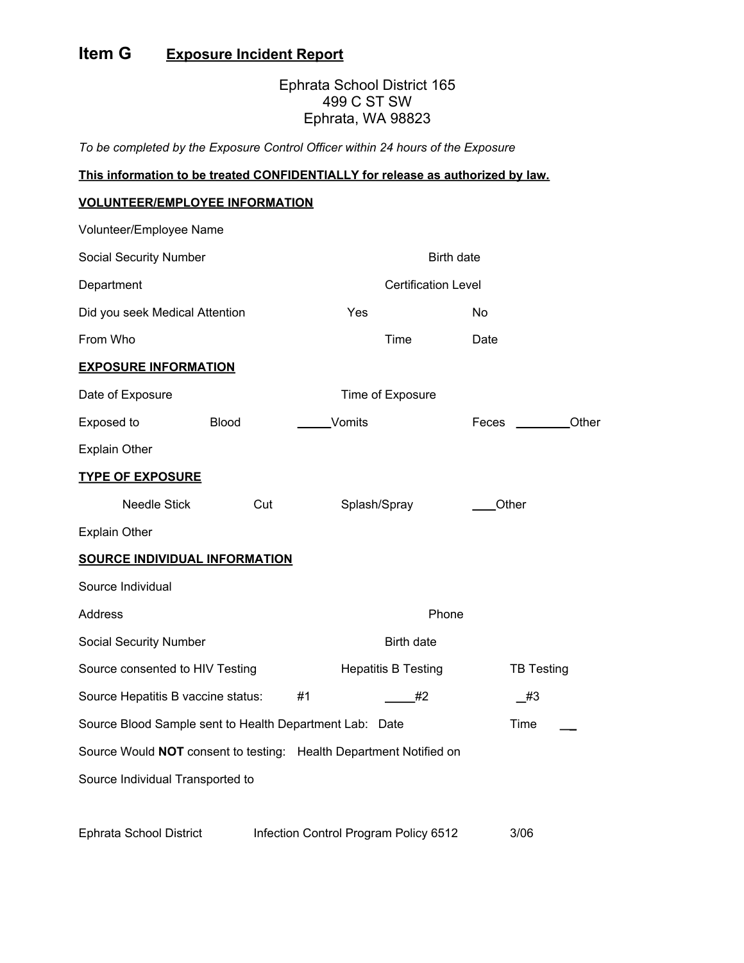## **Item G Exposure Incident Report**

## Ephrata School District 165 499 C ST SW Ephrata, WA 98823

*To be completed by the Exposure Control Officer within 24 hours of the Exposure*

## **This information to be treated CONFIDENTIALLY for release as authorized by law.**

## **VOLUNTEER/EMPLOYEE INFORMATION**

| Volunteer/Employee Name                                            |              |                            |                            |       |                   |  |
|--------------------------------------------------------------------|--------------|----------------------------|----------------------------|-------|-------------------|--|
| Social Security Number                                             |              | <b>Birth date</b>          |                            |       |                   |  |
| Department                                                         |              | <b>Certification Level</b> |                            |       |                   |  |
| Did you seek Medical Attention                                     |              | Yes                        |                            | No    |                   |  |
| From Who                                                           |              |                            | Time                       | Date  |                   |  |
| <b>EXPOSURE INFORMATION</b>                                        |              |                            |                            |       |                   |  |
| Date of Exposure                                                   |              | Time of Exposure           |                            |       |                   |  |
| Exposed to                                                         | <b>Blood</b> | Vomits                     |                            | Feces | Other             |  |
| <b>Explain Other</b>                                               |              |                            |                            |       |                   |  |
| <b>TYPE OF EXPOSURE</b>                                            |              |                            |                            |       |                   |  |
| <b>Needle Stick</b>                                                | Cut          | Splash/Spray               |                            | Other |                   |  |
| <b>Explain Other</b>                                               |              |                            |                            |       |                   |  |
| <b>SOURCE INDIVIDUAL INFORMATION</b>                               |              |                            |                            |       |                   |  |
| Source Individual                                                  |              |                            |                            |       |                   |  |
| Address                                                            |              | Phone                      |                            |       |                   |  |
| <b>Social Security Number</b>                                      |              |                            | Birth date                 |       |                   |  |
| Source consented to HIV Testing                                    |              |                            | <b>Hepatitis B Testing</b> |       | <b>TB Testing</b> |  |
| Source Hepatitis B vaccine status:                                 |              | #1                         | #2                         | #3    |                   |  |
| Source Blood Sample sent to Health Department Lab: Date            |              |                            |                            | Time  |                   |  |
| Source Would NOT consent to testing: Health Department Notified on |              |                            |                            |       |                   |  |
| Source Individual Transported to                                   |              |                            |                            |       |                   |  |
|                                                                    |              |                            |                            |       |                   |  |
| Infection Control Program Policy 6512<br>Ephrata School District   |              |                            | 3/06                       |       |                   |  |